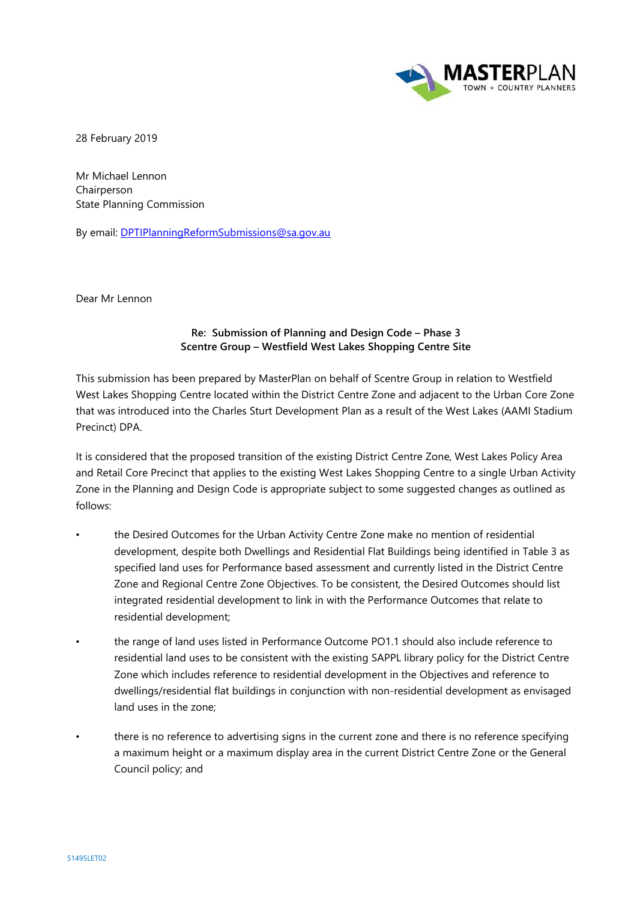

28 February 2019

Mr Michael Lennon Chairperson State Planning Commission

By email: [DPTIPlanningReformSubmissions@sa.gov.au](mailto:DPTIPlanningReformSubmissions@sa.gov.au)

Dear Mr Lennon

## **Re: Submission of Planning and Design Code – Phase 3 Scentre Group – Westfield West Lakes Shopping Centre Site**

This submission has been prepared by MasterPlan on behalf of Scentre Group in relation to Westfield West Lakes Shopping Centre located within the District Centre Zone and adjacent to the Urban Core Zone that was introduced into the Charles Sturt Development Plan as a result of the West Lakes (AAMI Stadium Precinct) DPA.

It is considered that the proposed transition of the existing District Centre Zone, West Lakes Policy Area and Retail Core Precinct that applies to the existing West Lakes Shopping Centre to a single Urban Activity Zone in the Planning and Design Code is appropriate subject to some suggested changes as outlined as follows:

- the Desired Outcomes for the Urban Activity Centre Zone make no mention of residential development, despite both Dwellings and Residential Flat Buildings being identified in Table 3 as specified land uses for Performance based assessment and currently listed in the District Centre Zone and Regional Centre Zone Objectives. To be consistent, the Desired Outcomes should list integrated residential development to link in with the Performance Outcomes that relate to residential development;
- the range of land uses listed in Performance Outcome PO1.1 should also include reference to residential land uses to be consistent with the existing SAPPL library policy for the District Centre Zone which includes reference to residential development in the Objectives and reference to dwellings/residential flat buildings in conjunction with non-residential development as envisaged land uses in the zone;
- there is no reference to advertising signs in the current zone and there is no reference specifying a maximum height or a maximum display area in the current District Centre Zone or the General Council policy; and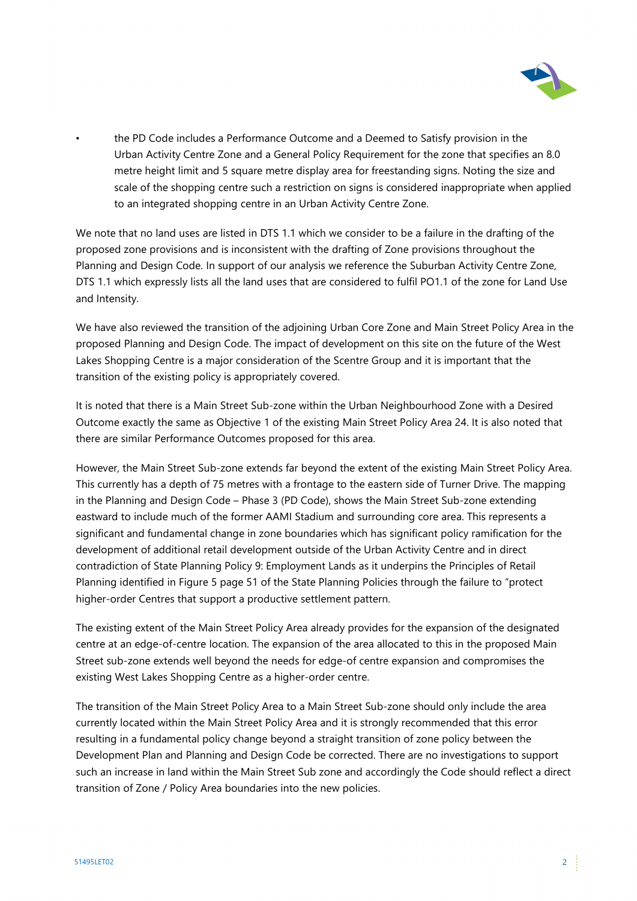

• the PD Code includes a Performance Outcome and a Deemed to Satisfy provision in the Urban Activity Centre Zone and a General Policy Requirement for the zone that specifies an 8.0 metre height limit and 5 square metre display area for freestanding signs. Noting the size and scale of the shopping centre such a restriction on signs is considered inappropriate when applied to an integrated shopping centre in an Urban Activity Centre Zone.

We note that no land uses are listed in DTS 1.1 which we consider to be a failure in the drafting of the proposed zone provisions and is inconsistent with the drafting of Zone provisions throughout the Planning and Design Code. In support of our analysis we reference the Suburban Activity Centre Zone, DTS 1.1 which expressly lists all the land uses that are considered to fulfil PO1.1 of the zone for Land Use and Intensity.

We have also reviewed the transition of the adjoining Urban Core Zone and Main Street Policy Area in the proposed Planning and Design Code. The impact of development on this site on the future of the West Lakes Shopping Centre is a major consideration of the Scentre Group and it is important that the transition of the existing policy is appropriately covered.

It is noted that there is a Main Street Sub-zone within the Urban Neighbourhood Zone with a Desired Outcome exactly the same as Objective 1 of the existing Main Street Policy Area 24. It is also noted that there are similar Performance Outcomes proposed for this area.

However, the Main Street Sub-zone extends far beyond the extent of the existing Main Street Policy Area. This currently has a depth of 75 metres with a frontage to the eastern side of Turner Drive. The mapping in the Planning and Design Code – Phase 3 (PD Code), shows the Main Street Sub-zone extending eastward to include much of the former AAMI Stadium and surrounding core area. This represents a significant and fundamental change in zone boundaries which has significant policy ramification for the development of additional retail development outside of the Urban Activity Centre and in direct contradiction of State Planning Policy 9: Employment Lands as it underpins the Principles of Retail Planning identified in Figure 5 page 51 of the State Planning Policies through the failure to "protect higher-order Centres that support a productive settlement pattern.

The existing extent of the Main Street Policy Area already provides for the expansion of the designated centre at an edge-of-centre location. The expansion of the area allocated to this in the proposed Main Street sub-zone extends well beyond the needs for edge-of centre expansion and compromises the existing West Lakes Shopping Centre as a higher-order centre.

The transition of the Main Street Policy Area to a Main Street Sub-zone should only include the area currently located within the Main Street Policy Area and it is strongly recommended that this error resulting in a fundamental policy change beyond a straight transition of zone policy between the Development Plan and Planning and Design Code be corrected. There are no investigations to support such an increase in land within the Main Street Sub zone and accordingly the Code should reflect a direct transition of Zone / Policy Area boundaries into the new policies.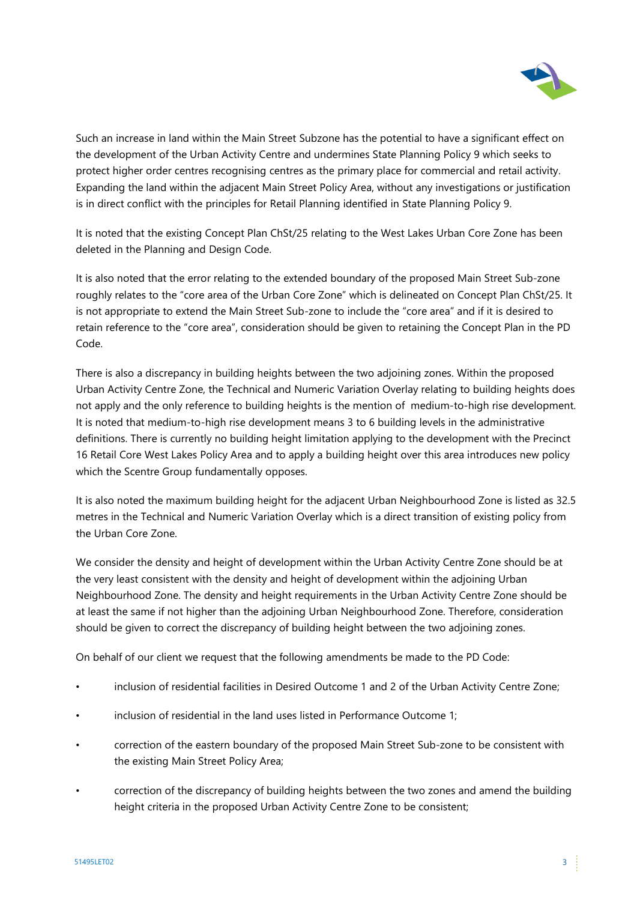

Such an increase in land within the Main Street Subzone has the potential to have a significant effect on the development of the Urban Activity Centre and undermines State Planning Policy 9 which seeks to protect higher order centres recognising centres as the primary place for commercial and retail activity. Expanding the land within the adjacent Main Street Policy Area, without any investigations or justification is in direct conflict with the principles for Retail Planning identified in State Planning Policy 9.

It is noted that the existing Concept Plan ChSt/25 relating to the West Lakes Urban Core Zone has been deleted in the Planning and Design Code.

It is also noted that the error relating to the extended boundary of the proposed Main Street Sub-zone roughly relates to the "core area of the Urban Core Zone" which is delineated on Concept Plan ChSt/25. It is not appropriate to extend the Main Street Sub-zone to include the "core area" and if it is desired to retain reference to the "core area", consideration should be given to retaining the Concept Plan in the PD Code.

There is also a discrepancy in building heights between the two adjoining zones. Within the proposed Urban Activity Centre Zone, the Technical and Numeric Variation Overlay relating to building heights does not apply and the only reference to building heights is the mention of medium-to-high rise development. It is noted that medium-to-high rise development means 3 to 6 building levels in the administrative definitions. There is currently no building height limitation applying to the development with the Precinct 16 Retail Core West Lakes Policy Area and to apply a building height over this area introduces new policy which the Scentre Group fundamentally opposes.

It is also noted the maximum building height for the adjacent Urban Neighbourhood Zone is listed as 32.5 metres in the Technical and Numeric Variation Overlay which is a direct transition of existing policy from the Urban Core Zone.

We consider the density and height of development within the Urban Activity Centre Zone should be at the very least consistent with the density and height of development within the adjoining Urban Neighbourhood Zone. The density and height requirements in the Urban Activity Centre Zone should be at least the same if not higher than the adjoining Urban Neighbourhood Zone. Therefore, consideration should be given to correct the discrepancy of building height between the two adjoining zones.

On behalf of our client we request that the following amendments be made to the PD Code:

- inclusion of residential facilities in Desired Outcome 1 and 2 of the Urban Activity Centre Zone;
- inclusion of residential in the land uses listed in Performance Outcome 1;
- correction of the eastern boundary of the proposed Main Street Sub-zone to be consistent with the existing Main Street Policy Area;
- correction of the discrepancy of building heights between the two zones and amend the building height criteria in the proposed Urban Activity Centre Zone to be consistent;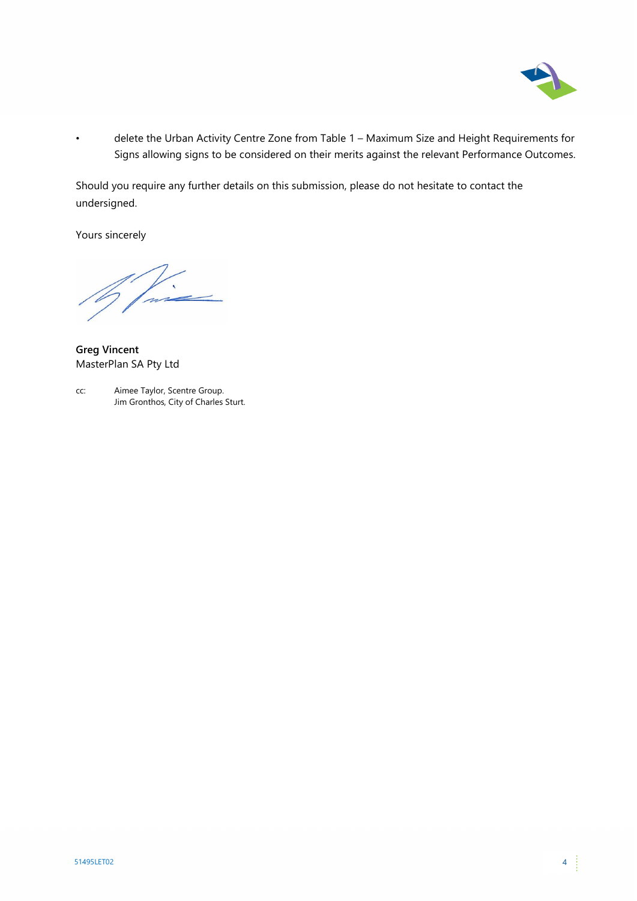

• delete the Urban Activity Centre Zone from Table 1 – Maximum Size and Height Requirements for Signs allowing signs to be considered on their merits against the relevant Performance Outcomes.

Should you require any further details on this submission, please do not hesitate to contact the undersigned.

Yours sincerely

**Greg Vincent** MasterPlan SA Pty Ltd

cc: Aimee Taylor, Scentre Group. Jim Gronthos, City of Charles Sturt.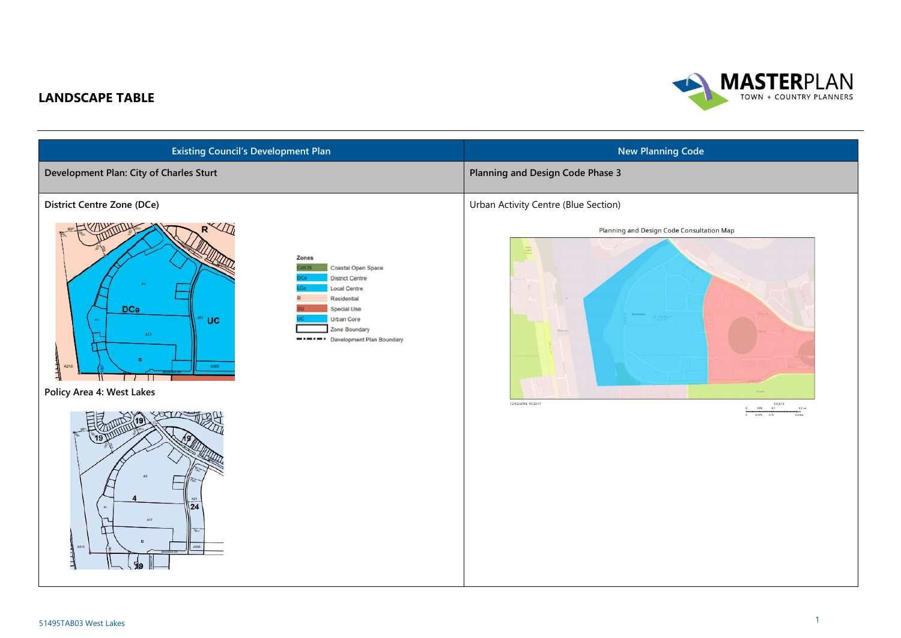## **MASTERPLAN** TOWN + COUNTRY PLANNERS

## **LANDSCAPE TABLE**

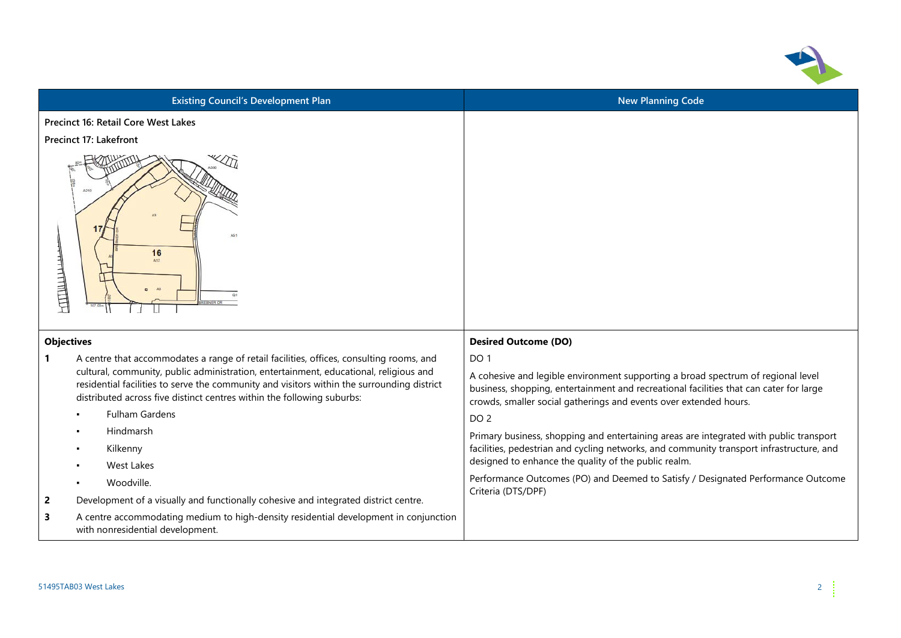

| <b>Existing Council's Development Plan</b>                                                                                                                                                                                                                    | <b>New Planning Code</b>                                                                                                                                                                                                                        |
|---------------------------------------------------------------------------------------------------------------------------------------------------------------------------------------------------------------------------------------------------------------|-------------------------------------------------------------------------------------------------------------------------------------------------------------------------------------------------------------------------------------------------|
| Precinct 16: Retail Core West Lakes                                                                                                                                                                                                                           |                                                                                                                                                                                                                                                 |
| <b>Precinct 17: Lakefront</b>                                                                                                                                                                                                                                 |                                                                                                                                                                                                                                                 |
| $\sqrt{2}$<br>A210<br>16<br>上目目<br>A3                                                                                                                                                                                                                         |                                                                                                                                                                                                                                                 |
| <b>Objectives</b>                                                                                                                                                                                                                                             | <b>Desired Outcome (DO)</b>                                                                                                                                                                                                                     |
| A centre that accommodates a range of retail facilities, offices, consulting rooms, and<br>1                                                                                                                                                                  | DO <sub>1</sub>                                                                                                                                                                                                                                 |
| cultural, community, public administration, entertainment, educational, religious and<br>residential facilities to serve the community and visitors within the surrounding district<br>distributed across five distinct centres within the following suburbs: | A cohesive and legible environment supporting a broad spectrum of regional level<br>business, shopping, entertainment and recreational facilities that can cater for large<br>crowds, smaller social gatherings and events over extended hours. |
| <b>Fulham Gardens</b>                                                                                                                                                                                                                                         | DO <sub>2</sub>                                                                                                                                                                                                                                 |
| Hindmarsh                                                                                                                                                                                                                                                     | Primary business, shopping and entertaining areas are integrated with public transport                                                                                                                                                          |
| Kilkenny                                                                                                                                                                                                                                                      | facilities, pedestrian and cycling networks, and community transport infrastructure, and                                                                                                                                                        |
| <b>West Lakes</b>                                                                                                                                                                                                                                             | designed to enhance the quality of the public realm.                                                                                                                                                                                            |
| Woodville.                                                                                                                                                                                                                                                    | Performance Outcomes (PO) and Deemed to Satisfy / Designated Performance Outcome<br>Criteria (DTS/DPF)                                                                                                                                          |
| Development of a visually and functionally cohesive and integrated district centre.<br>2                                                                                                                                                                      |                                                                                                                                                                                                                                                 |
| 3<br>A centre accommodating medium to high-density residential development in conjunction<br>with nonresidential development.                                                                                                                                 |                                                                                                                                                                                                                                                 |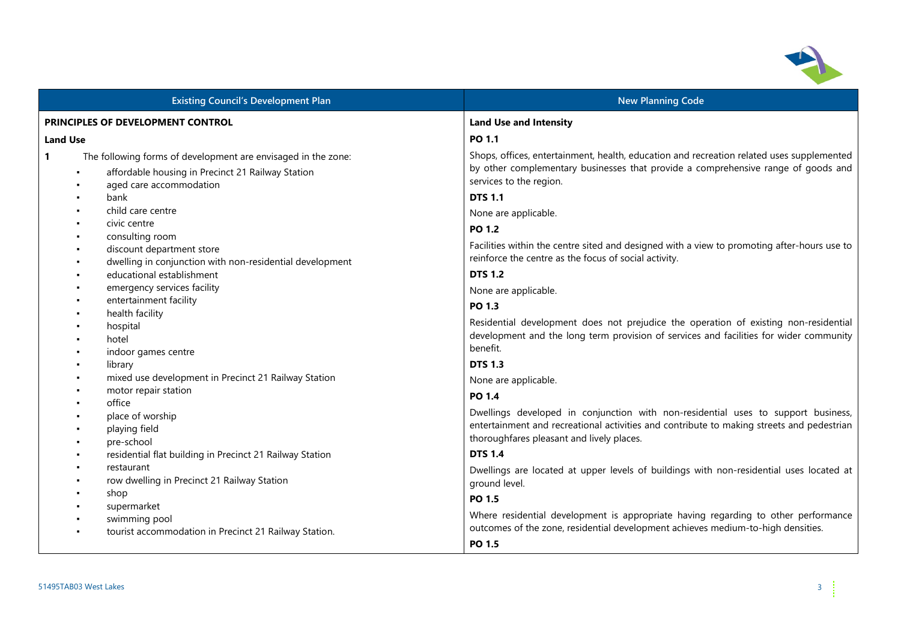

| <b>Existing Council's Development Plan</b>                                                                                                                    | <b>New Planning Code</b>                                                                                                                                                                                                    |  |
|---------------------------------------------------------------------------------------------------------------------------------------------------------------|-----------------------------------------------------------------------------------------------------------------------------------------------------------------------------------------------------------------------------|--|
| PRINCIPLES OF DEVELOPMENT CONTROL                                                                                                                             | <b>Land Use and Intensity</b>                                                                                                                                                                                               |  |
| <b>Land Use</b>                                                                                                                                               | PO 1.1                                                                                                                                                                                                                      |  |
| $\mathbf{1}$<br>The following forms of development are envisaged in the zone:<br>affordable housing in Precinct 21 Railway Station<br>aged care accommodation | Shops, offices, entertainment, health, education and recreation related uses supplemented<br>by other complementary businesses that provide a comprehensive range of goods and<br>services to the region.                   |  |
| bank                                                                                                                                                          | <b>DTS 1.1</b>                                                                                                                                                                                                              |  |
| child care centre                                                                                                                                             | None are applicable.                                                                                                                                                                                                        |  |
| civic centre                                                                                                                                                  | PO 1.2                                                                                                                                                                                                                      |  |
| consulting room<br>$\blacksquare$<br>discount department store<br>dwelling in conjunction with non-residential development                                    | Facilities within the centre sited and designed with a view to promoting after-hours use to<br>reinforce the centre as the focus of social activity.                                                                        |  |
| educational establishment                                                                                                                                     | <b>DTS 1.2</b>                                                                                                                                                                                                              |  |
| emergency services facility                                                                                                                                   | None are applicable.                                                                                                                                                                                                        |  |
| entertainment facility                                                                                                                                        | PO 1.3                                                                                                                                                                                                                      |  |
| health facility<br>hospital<br>hotel                                                                                                                          | Residential development does not prejudice the operation of existing non-residential<br>development and the long term provision of services and facilities for wider community                                              |  |
| indoor games centre                                                                                                                                           | benefit.                                                                                                                                                                                                                    |  |
| library                                                                                                                                                       | <b>DTS 1.3</b>                                                                                                                                                                                                              |  |
| mixed use development in Precinct 21 Railway Station<br>motor repair station                                                                                  | None are applicable.                                                                                                                                                                                                        |  |
| office                                                                                                                                                        | PO 1.4                                                                                                                                                                                                                      |  |
| place of worship<br>playing field<br>pre-school                                                                                                               | Dwellings developed in conjunction with non-residential uses to support business,<br>entertainment and recreational activities and contribute to making streets and pedestrian<br>thoroughfares pleasant and lively places. |  |
| residential flat building in Precinct 21 Railway Station                                                                                                      | <b>DTS 1.4</b>                                                                                                                                                                                                              |  |
| restaurant<br>row dwelling in Precinct 21 Railway Station                                                                                                     | Dwellings are located at upper levels of buildings with non-residential uses located at<br>ground level.                                                                                                                    |  |
| shop                                                                                                                                                          | PO 1.5                                                                                                                                                                                                                      |  |
| supermarket<br>swimming pool                                                                                                                                  | Where residential development is appropriate having regarding to other performance                                                                                                                                          |  |
| tourist accommodation in Precinct 21 Railway Station.                                                                                                         | outcomes of the zone, residential development achieves medium-to-high densities.                                                                                                                                            |  |
|                                                                                                                                                               | PO 1.5                                                                                                                                                                                                                      |  |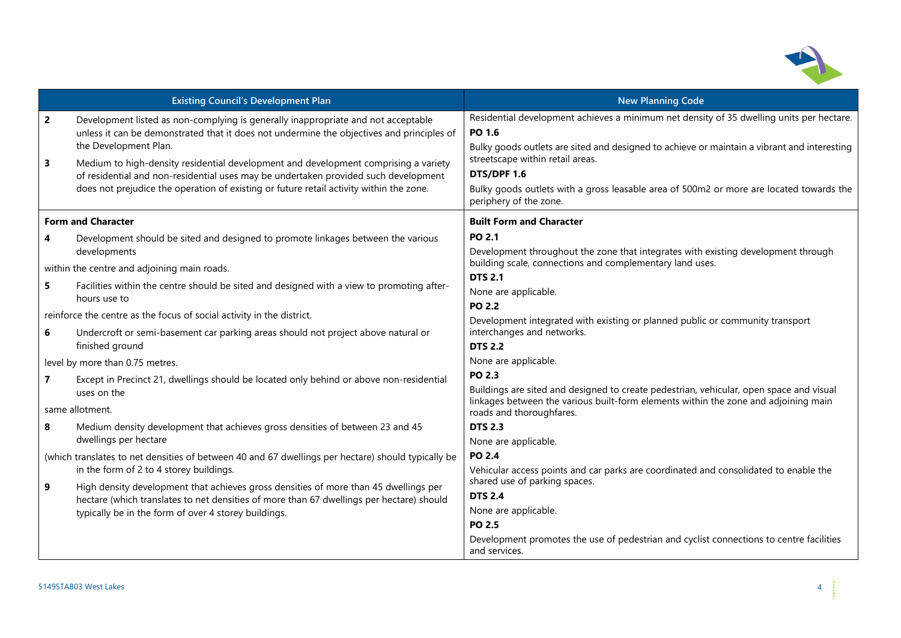

| <b>Existing Council's Development Plan</b> |                                                                                                                                                                                                                                                                       | <b>New Planning Code</b>                                                                                                                                                                          |  |
|--------------------------------------------|-----------------------------------------------------------------------------------------------------------------------------------------------------------------------------------------------------------------------------------------------------------------------|---------------------------------------------------------------------------------------------------------------------------------------------------------------------------------------------------|--|
| $\overline{2}$                             | Development listed as non-complying is generally inappropriate and not acceptable<br>unless it can be demonstrated that it does not undermine the objectives and principles of<br>the Development Plan.                                                               | Residential development achieves a minimum net density of 35 dwelling units per hectare.<br>PO 1.6<br>Bulky goods outlets are sited and designed to achieve or maintain a vibrant and interesting |  |
| $\overline{\mathbf{3}}$                    | Medium to high-density residential development and development comprising a variety<br>of residential and non-residential uses may be undertaken provided such development<br>does not prejudice the operation of existing or future retail activity within the zone. | streetscape within retail areas.<br>DTS/DPF 1.6<br>Bulky goods outlets with a gross leasable area of 500m2 or more are located towards the<br>periphery of the zone.                              |  |
|                                            | <b>Form and Character</b>                                                                                                                                                                                                                                             | <b>Built Form and Character</b>                                                                                                                                                                   |  |
| 4                                          | Development should be sited and designed to promote linkages between the various<br>developments                                                                                                                                                                      | PO 2.1<br>Development throughout the zone that integrates with existing development through                                                                                                       |  |
|                                            | within the centre and adjoining main roads.                                                                                                                                                                                                                           | building scale, connections and complementary land uses.<br><b>DTS 2.1</b>                                                                                                                        |  |
| 5                                          | Facilities within the centre should be sited and designed with a view to promoting after-<br>hours use to                                                                                                                                                             | None are applicable.                                                                                                                                                                              |  |
|                                            | reinforce the centre as the focus of social activity in the district.                                                                                                                                                                                                 | <b>PO 2.2</b><br>Development integrated with existing or planned public or community transport                                                                                                    |  |
| 6                                          | Undercroft or semi-basement car parking areas should not project above natural or<br>finished ground                                                                                                                                                                  | interchanges and networks.<br><b>DTS 2.2</b>                                                                                                                                                      |  |
|                                            | level by more than 0.75 metres.                                                                                                                                                                                                                                       | None are applicable.                                                                                                                                                                              |  |
| $\overline{7}$                             | Except in Precinct 21, dwellings should be located only behind or above non-residential<br>uses on the                                                                                                                                                                | PO 2.3<br>Buildings are sited and designed to create pedestrian, vehicular, open space and visual                                                                                                 |  |
|                                            | same allotment.                                                                                                                                                                                                                                                       | linkages between the various built-form elements within the zone and adjoining main<br>roads and thoroughfares.                                                                                   |  |
| 8                                          | Medium density development that achieves gross densities of between 23 and 45<br>dwellings per hectare                                                                                                                                                                | <b>DTS 2.3</b><br>None are applicable.                                                                                                                                                            |  |
|                                            | (which translates to net densities of between 40 and 67 dwellings per hectare) should typically be<br>in the form of 2 to 4 storey buildings.                                                                                                                         | PO 2.4<br>Vehicular access points and car parks are coordinated and consolidated to enable the                                                                                                    |  |
| 9                                          | High density development that achieves gross densities of more than 45 dwellings per<br>hectare (which translates to net densities of more than 67 dwellings per hectare) should<br>typically be in the form of over 4 storey buildings.                              | shared use of parking spaces.<br><b>DTS 2.4</b><br>None are applicable.<br>PO 2.5                                                                                                                 |  |
|                                            |                                                                                                                                                                                                                                                                       | Development promotes the use of pedestrian and cyclist connections to centre facilities<br>and services.                                                                                          |  |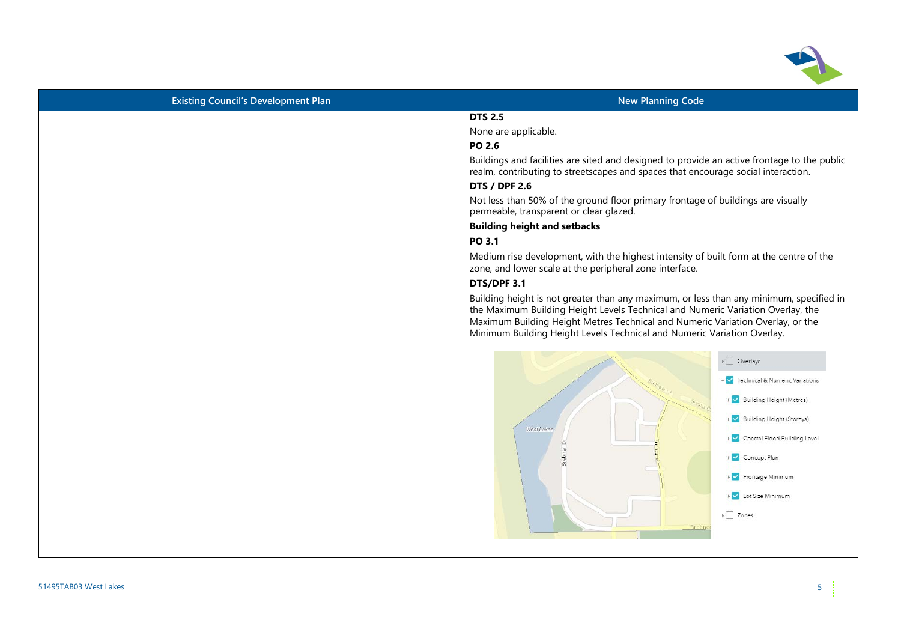

| <b>New Planning Code</b>                                                                                                                                                                                                                                                                                                                                                                                                                                                                                                                                                                                 |
|----------------------------------------------------------------------------------------------------------------------------------------------------------------------------------------------------------------------------------------------------------------------------------------------------------------------------------------------------------------------------------------------------------------------------------------------------------------------------------------------------------------------------------------------------------------------------------------------------------|
| <b>DTS 2.5</b>                                                                                                                                                                                                                                                                                                                                                                                                                                                                                                                                                                                           |
| None are applicable.                                                                                                                                                                                                                                                                                                                                                                                                                                                                                                                                                                                     |
| PO 2.6                                                                                                                                                                                                                                                                                                                                                                                                                                                                                                                                                                                                   |
| Buildings and facilities are sited and designed to provide an active frontage to the public<br>realm, contributing to streetscapes and spaces that encourage social interaction.                                                                                                                                                                                                                                                                                                                                                                                                                         |
| <b>DTS / DPF 2.6</b>                                                                                                                                                                                                                                                                                                                                                                                                                                                                                                                                                                                     |
| Not less than 50% of the ground floor primary frontage of buildings are visually<br>permeable, transparent or clear glazed.                                                                                                                                                                                                                                                                                                                                                                                                                                                                              |
| <b>Building height and setbacks</b>                                                                                                                                                                                                                                                                                                                                                                                                                                                                                                                                                                      |
| PO 3.1                                                                                                                                                                                                                                                                                                                                                                                                                                                                                                                                                                                                   |
| Medium rise development, with the highest intensity of built form at the centre of the<br>zone, and lower scale at the peripheral zone interface.                                                                                                                                                                                                                                                                                                                                                                                                                                                        |
| DTS/DPF 3.1                                                                                                                                                                                                                                                                                                                                                                                                                                                                                                                                                                                              |
| Building height is not greater than any maximum, or less than any minimum, specified in<br>the Maximum Building Height Levels Technical and Numeric Variation Overlay, the<br>Maximum Building Height Metres Technical and Numeric Variation Overlay, or the<br>Minimum Building Height Levels Technical and Numeric Variation Overlay.<br>$\triangleright$ $\Box$ Overlays<br>V Technical & Numeric Variations<br>▶ Building Height (Metres)<br>▶ Ø Building Height (Storeys)<br>West Lake:<br>▶ Coastal Flood Building Level<br>ö<br>▶ Concept Plan<br>Frontage Minimum<br>Lot Size Minimum<br>> Zones |
|                                                                                                                                                                                                                                                                                                                                                                                                                                                                                                                                                                                                          |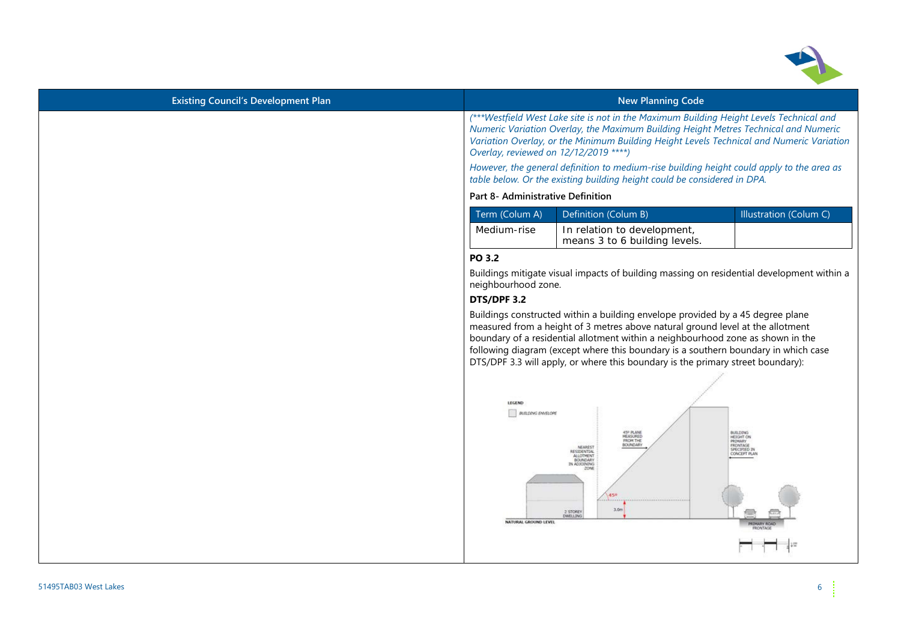

| <b>Existing Council's Development Plan</b> | <b>New Planning Code</b>                                                                                                                                                                                                                                                                                                                                                                                                     |
|--------------------------------------------|------------------------------------------------------------------------------------------------------------------------------------------------------------------------------------------------------------------------------------------------------------------------------------------------------------------------------------------------------------------------------------------------------------------------------|
|                                            | (***Westfield West Lake site is not in the Maximum Building Height Levels Technical and<br>Numeric Variation Overlay, the Maximum Building Height Metres Technical and Numeric<br>Variation Overlay, or the Minimum Building Height Levels Technical and Numeric Variation<br>Overlay, reviewed on 12/12/2019 ****)<br>However, the general definition to medium-rise building height could apply to the area as             |
|                                            | table below. Or the existing building height could be considered in DPA.                                                                                                                                                                                                                                                                                                                                                     |
|                                            | Part 8- Administrative Definition                                                                                                                                                                                                                                                                                                                                                                                            |
|                                            | Illustration (Colum C)<br>Term (Colum A)<br>Definition (Colum B)                                                                                                                                                                                                                                                                                                                                                             |
|                                            | Medium-rise<br>In relation to development,<br>means 3 to 6 building levels.                                                                                                                                                                                                                                                                                                                                                  |
|                                            | PO 3.2                                                                                                                                                                                                                                                                                                                                                                                                                       |
|                                            | Buildings mitigate visual impacts of building massing on residential development within a<br>neighbourhood zone.                                                                                                                                                                                                                                                                                                             |
|                                            | DTS/DPF 3.2                                                                                                                                                                                                                                                                                                                                                                                                                  |
|                                            | Buildings constructed within a building envelope provided by a 45 degree plane<br>measured from a height of 3 metres above natural ground level at the allotment<br>boundary of a residential allotment within a neighbourhood zone as shown in the<br>following diagram (except where this boundary is a southern boundary in which case<br>DTS/DPF 3.3 will apply, or where this boundary is the primary street boundary): |
|                                            | LEGEND<br><b>BUILDING ENVELOPE</b><br>45° PLANE<br>MEASURED<br><b>BUILDING</b><br>HEIGHT ON<br>FROM THE<br>PRIMARY<br>BOUNDARY<br><b>FRONTAGE</b><br>NEAREST<br>SPECIFIED IN<br>RESIDENTIAL<br>ALLOTMENT                                                                                                                                                                                                                     |
|                                            | <b>BOUNDARY</b><br>IN ADJOINING<br>20NB<br>450<br>3.0 <sub>m</sub><br>2 STOREY<br><b>DWELLING</b><br>NATURAL GROUND LEVEL                                                                                                                                                                                                                                                                                                    |
|                                            |                                                                                                                                                                                                                                                                                                                                                                                                                              |
|                                            |                                                                                                                                                                                                                                                                                                                                                                                                                              |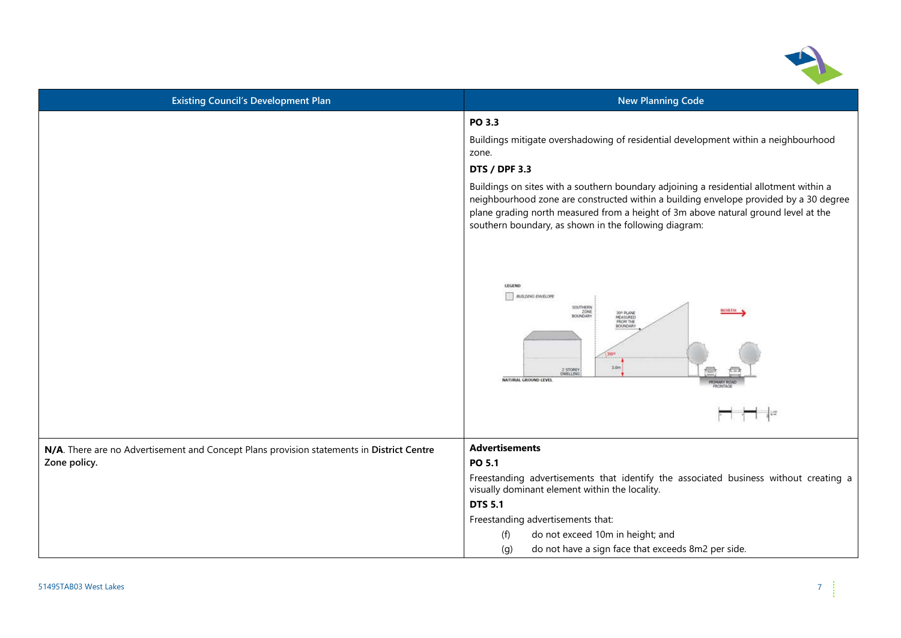

| <b>Existing Council's Development Plan</b>                                                                | <b>New Planning Code</b>                                                                                                                                                                                                                                                                                                                                                                                                                                                                                                                                                       |
|-----------------------------------------------------------------------------------------------------------|--------------------------------------------------------------------------------------------------------------------------------------------------------------------------------------------------------------------------------------------------------------------------------------------------------------------------------------------------------------------------------------------------------------------------------------------------------------------------------------------------------------------------------------------------------------------------------|
|                                                                                                           | PO 3.3<br>Buildings mitigate overshadowing of residential development within a neighbourhood<br>zone.<br><b>DTS / DPF 3.3</b><br>Buildings on sites with a southern boundary adjoining a residential allotment within a<br>neighbourhood zone are constructed within a building envelope provided by a 30 degree<br>plane grading north measured from a height of 3m above natural ground level at the<br>southern boundary, as shown in the following diagram:<br>LEGEND<br><b>BUILDING ENVELOPE</b><br>SOUTHERN<br><b>NORTH</b><br>ZONE<br>BOUNDARY<br>30 <sup>0</sup> PLANE |
|                                                                                                           | FROM THE<br><b>BOUNDARY</b><br>30%<br>3.0 <sub>m</sub><br>2 STOREY<br><b>NATURAL GROUND LEVEL</b>                                                                                                                                                                                                                                                                                                                                                                                                                                                                              |
|                                                                                                           |                                                                                                                                                                                                                                                                                                                                                                                                                                                                                                                                                                                |
| N/A. There are no Advertisement and Concept Plans provision statements in District Centre<br>Zone policy. | <b>Advertisements</b><br>PO 5.1                                                                                                                                                                                                                                                                                                                                                                                                                                                                                                                                                |
|                                                                                                           | Freestanding advertisements that identify the associated business without creating a<br>visually dominant element within the locality.                                                                                                                                                                                                                                                                                                                                                                                                                                         |
|                                                                                                           | <b>DTS 5.1</b>                                                                                                                                                                                                                                                                                                                                                                                                                                                                                                                                                                 |
|                                                                                                           | Freestanding advertisements that:                                                                                                                                                                                                                                                                                                                                                                                                                                                                                                                                              |
|                                                                                                           | do not exceed 10m in height; and<br>(f)                                                                                                                                                                                                                                                                                                                                                                                                                                                                                                                                        |
|                                                                                                           | do not have a sign face that exceeds 8m2 per side.<br>(g)                                                                                                                                                                                                                                                                                                                                                                                                                                                                                                                      |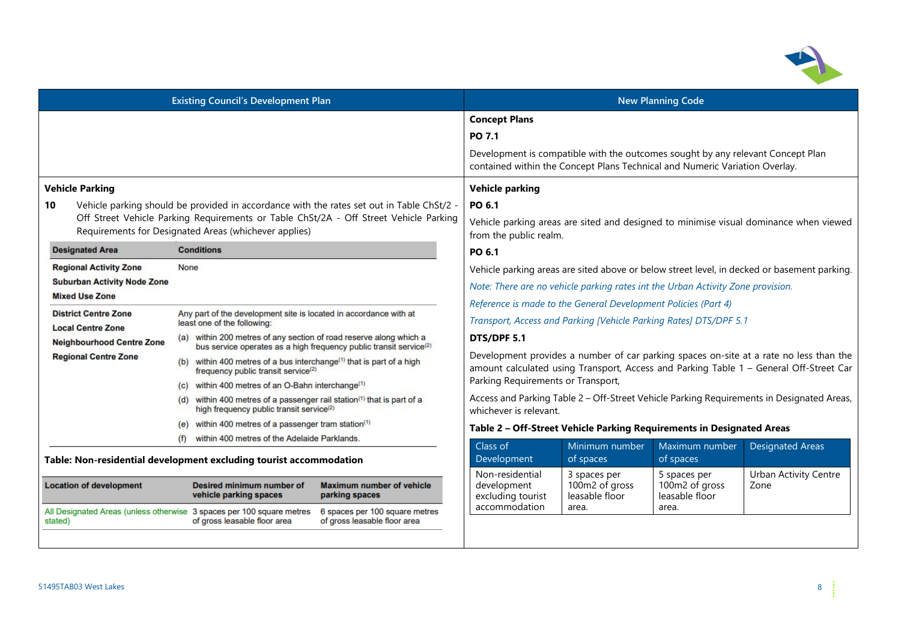

| <b>Existing Council's Development Plan</b>                                                                                                                                                                                                        |                                                                                                                                                      | <b>New Planning Code</b>                                                                                                  |                                                                                                                                                                                  |                                                                                                                                                                |                                                  |                                                                                             |
|---------------------------------------------------------------------------------------------------------------------------------------------------------------------------------------------------------------------------------------------------|------------------------------------------------------------------------------------------------------------------------------------------------------|---------------------------------------------------------------------------------------------------------------------------|----------------------------------------------------------------------------------------------------------------------------------------------------------------------------------|----------------------------------------------------------------------------------------------------------------------------------------------------------------|--------------------------------------------------|---------------------------------------------------------------------------------------------|
|                                                                                                                                                                                                                                                   |                                                                                                                                                      | <b>Concept Plans</b>                                                                                                      |                                                                                                                                                                                  |                                                                                                                                                                |                                                  |                                                                                             |
|                                                                                                                                                                                                                                                   |                                                                                                                                                      |                                                                                                                           | PO 7.1                                                                                                                                                                           | Development is compatible with the outcomes sought by any relevant Concept Plan<br>contained within the Concept Plans Technical and Numeric Variation Overlay. |                                                  |                                                                                             |
| <b>Vehicle Parking</b>                                                                                                                                                                                                                            |                                                                                                                                                      |                                                                                                                           | <b>Vehicle parking</b>                                                                                                                                                           |                                                                                                                                                                |                                                  |                                                                                             |
| Vehicle parking should be provided in accordance with the rates set out in Table ChSt/2 -<br>10<br>Off Street Vehicle Parking Requirements or Table ChSt/2A - Off Street Vehicle Parking<br>Requirements for Designated Areas (whichever applies) |                                                                                                                                                      | PO 6.1<br>Vehicle parking areas are sited and designed to minimise visual dominance when viewed<br>from the public realm. |                                                                                                                                                                                  |                                                                                                                                                                |                                                  |                                                                                             |
| <b>Designated Area</b>                                                                                                                                                                                                                            | <b>Conditions</b>                                                                                                                                    |                                                                                                                           | PO 6.1                                                                                                                                                                           |                                                                                                                                                                |                                                  |                                                                                             |
| <b>Regional Activity Zone</b><br><b>Suburban Activity Node Zone</b>                                                                                                                                                                               | None                                                                                                                                                 |                                                                                                                           |                                                                                                                                                                                  |                                                                                                                                                                |                                                  | Vehicle parking areas are sited above or below street level, in decked or basement parking. |
| <b>Mixed Use Zone</b>                                                                                                                                                                                                                             |                                                                                                                                                      |                                                                                                                           | Note: There are no vehicle parking rates int the Urban Activity Zone provision.<br>Reference is made to the General Development Policies (Part 4)                                |                                                                                                                                                                |                                                  |                                                                                             |
| <b>District Centre Zone</b><br><b>Local Centre Zone</b>                                                                                                                                                                                           | Any part of the development site is located in accordance with at<br>least one of the following:                                                     |                                                                                                                           | Transport, Access and Parking [Vehicle Parking Rates] DTS/DPF 5.1                                                                                                                |                                                                                                                                                                |                                                  |                                                                                             |
| <b>Neighbourhood Centre Zone</b>                                                                                                                                                                                                                  | (a) within 200 metres of any section of road reserve along which a<br>bus service operates as a high frequency public transit service <sup>(2)</sup> | DTS/DPF 5.1                                                                                                               |                                                                                                                                                                                  |                                                                                                                                                                |                                                  |                                                                                             |
| <b>Regional Centre Zone</b>                                                                                                                                                                                                                       | (b) within 400 metres of a bus interchange <sup>(1)</sup> that is part of a high<br>frequency public transit service <sup>(2)</sup>                  |                                                                                                                           | Development provides a number of car parking spaces on-site at a rate no less than the<br>amount calculated using Transport, Access and Parking Table 1 - General Off-Street Car |                                                                                                                                                                |                                                  |                                                                                             |
|                                                                                                                                                                                                                                                   | (c) within 400 metres of an O-Bahn interchange <sup>(1)</sup>                                                                                        |                                                                                                                           | Parking Requirements or Transport,                                                                                                                                               |                                                                                                                                                                |                                                  |                                                                                             |
|                                                                                                                                                                                                                                                   | within 400 metres of a passenger rail station <sup>(1)</sup> that is part of a<br>(d)<br>high frequency public transit service <sup>(2)</sup>        |                                                                                                                           | whichever is relevant.                                                                                                                                                           |                                                                                                                                                                |                                                  | Access and Parking Table 2 - Off-Street Vehicle Parking Requirements in Designated Areas,   |
|                                                                                                                                                                                                                                                   | (e) within 400 metres of a passenger tram station <sup>(1)</sup>                                                                                     |                                                                                                                           |                                                                                                                                                                                  | Table 2 - Off-Street Vehicle Parking Requirements in Designated Areas                                                                                          |                                                  |                                                                                             |
|                                                                                                                                                                                                                                                   | within 400 metres of the Adelaide Parklands.<br>(f)                                                                                                  |                                                                                                                           | Class of                                                                                                                                                                         | Minimum number                                                                                                                                                 | Maximum number                                   | <b>Designated Areas</b>                                                                     |
| Table: Non-residential development excluding tourist accommodation                                                                                                                                                                                |                                                                                                                                                      | Development                                                                                                               | of spaces                                                                                                                                                                        | of spaces                                                                                                                                                      |                                                  |                                                                                             |
| <b>Location of development</b>                                                                                                                                                                                                                    | Desired minimum number of<br>vehicle parking spaces                                                                                                  | <b>Maximum number of vehicle</b><br>parking spaces                                                                        | Non-residential<br>development<br>excluding tourist                                                                                                                              | 3 spaces per<br>100m2 of gross<br>leasable floor                                                                                                               | 5 spaces per<br>100m2 of gross<br>leasable floor | <b>Urban Activity Centre</b><br>Zone                                                        |
| All Designated Areas (unless otherwise 3 spaces per 100 square metres<br>6 spaces per 100 square metres<br>of gross leasable floor area<br>of gross leasable floor area<br>stated)                                                                |                                                                                                                                                      | accommodation                                                                                                             | area.                                                                                                                                                                            | area.                                                                                                                                                          |                                                  |                                                                                             |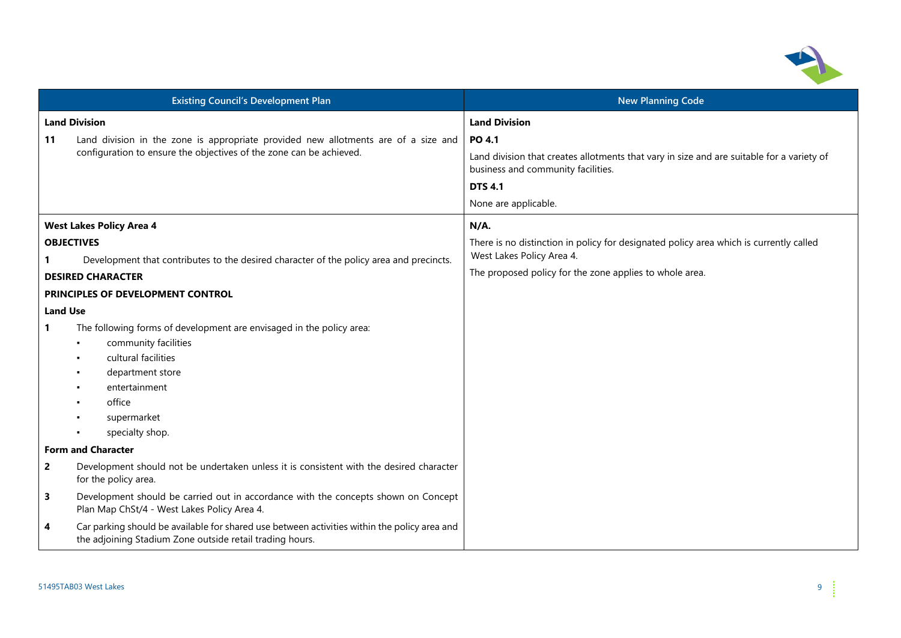

| <b>Existing Council's Development Plan</b> |                                                                                                                                                           | <b>New Planning Code</b>                                                                                                                                                                   |  |
|--------------------------------------------|-----------------------------------------------------------------------------------------------------------------------------------------------------------|--------------------------------------------------------------------------------------------------------------------------------------------------------------------------------------------|--|
| <b>Land Division</b>                       |                                                                                                                                                           | <b>Land Division</b>                                                                                                                                                                       |  |
| 11                                         | Land division in the zone is appropriate provided new allotments are of a size and<br>configuration to ensure the objectives of the zone can be achieved. | <b>PO 4.1</b><br>Land division that creates allotments that vary in size and are suitable for a variety of<br>business and community facilities.<br><b>DTS 4.1</b><br>None are applicable. |  |
|                                            | <b>West Lakes Policy Area 4</b>                                                                                                                           | $N/A$ .                                                                                                                                                                                    |  |
|                                            | <b>OBJECTIVES</b><br>Development that contributes to the desired character of the policy area and precincts.                                              | There is no distinction in policy for designated policy area which is currently called<br>West Lakes Policy Area 4.                                                                        |  |
|                                            | <b>DESIRED CHARACTER</b>                                                                                                                                  | The proposed policy for the zone applies to whole area.                                                                                                                                    |  |
|                                            | PRINCIPLES OF DEVELOPMENT CONTROL                                                                                                                         |                                                                                                                                                                                            |  |
| <b>Land Use</b>                            |                                                                                                                                                           |                                                                                                                                                                                            |  |
| 1                                          | The following forms of development are envisaged in the policy area:                                                                                      |                                                                                                                                                                                            |  |
|                                            | community facilities                                                                                                                                      |                                                                                                                                                                                            |  |
|                                            | cultural facilities                                                                                                                                       |                                                                                                                                                                                            |  |
|                                            | department store                                                                                                                                          |                                                                                                                                                                                            |  |
|                                            | entertainment                                                                                                                                             |                                                                                                                                                                                            |  |
|                                            | office                                                                                                                                                    |                                                                                                                                                                                            |  |
|                                            | supermarket                                                                                                                                               |                                                                                                                                                                                            |  |
|                                            | specialty shop.                                                                                                                                           |                                                                                                                                                                                            |  |
|                                            | <b>Form and Character</b>                                                                                                                                 |                                                                                                                                                                                            |  |
| $\overline{2}$                             | Development should not be undertaken unless it is consistent with the desired character<br>for the policy area.                                           |                                                                                                                                                                                            |  |
| 3                                          | Development should be carried out in accordance with the concepts shown on Concept<br>Plan Map ChSt/4 - West Lakes Policy Area 4.                         |                                                                                                                                                                                            |  |
| 4                                          | Car parking should be available for shared use between activities within the policy area and<br>the adjoining Stadium Zone outside retail trading hours.  |                                                                                                                                                                                            |  |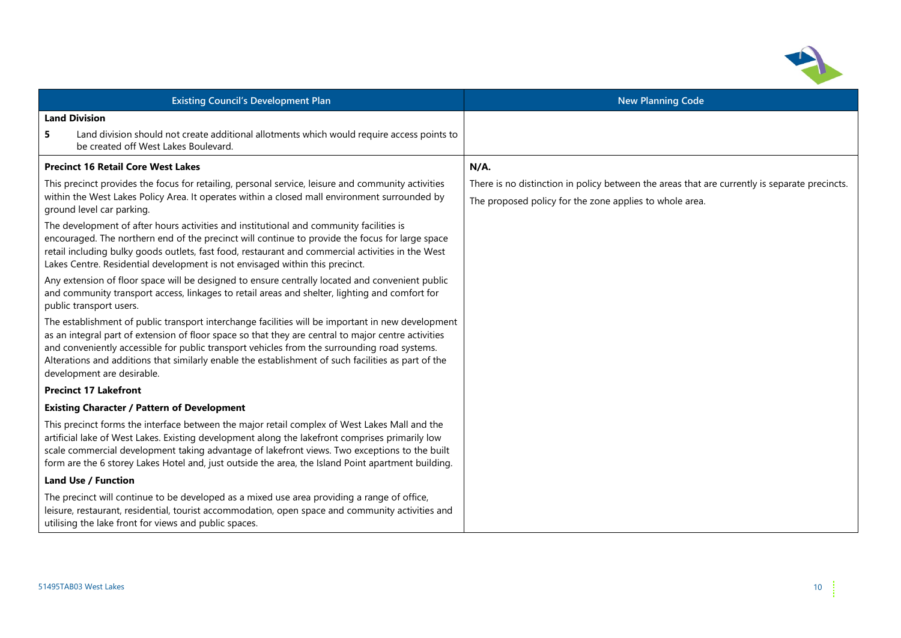

|                                                                                                                                                                                                                                                                                                                                                                                                                                               | <b>Existing Council's Development Plan</b>                                                                                                                                                                                                                                                                                                                                                              | <b>New Planning Code</b>                                                                                                                                 |  |
|-----------------------------------------------------------------------------------------------------------------------------------------------------------------------------------------------------------------------------------------------------------------------------------------------------------------------------------------------------------------------------------------------------------------------------------------------|---------------------------------------------------------------------------------------------------------------------------------------------------------------------------------------------------------------------------------------------------------------------------------------------------------------------------------------------------------------------------------------------------------|----------------------------------------------------------------------------------------------------------------------------------------------------------|--|
|                                                                                                                                                                                                                                                                                                                                                                                                                                               | <b>Land Division</b>                                                                                                                                                                                                                                                                                                                                                                                    |                                                                                                                                                          |  |
| 5                                                                                                                                                                                                                                                                                                                                                                                                                                             | Land division should not create additional allotments which would require access points to<br>be created off West Lakes Boulevard.                                                                                                                                                                                                                                                                      |                                                                                                                                                          |  |
|                                                                                                                                                                                                                                                                                                                                                                                                                                               | <b>Precinct 16 Retail Core West Lakes</b>                                                                                                                                                                                                                                                                                                                                                               | N/A.                                                                                                                                                     |  |
| This precinct provides the focus for retailing, personal service, leisure and community activities<br>within the West Lakes Policy Area. It operates within a closed mall environment surrounded by<br>ground level car parking.                                                                                                                                                                                                              |                                                                                                                                                                                                                                                                                                                                                                                                         | There is no distinction in policy between the areas that are currently is separate precincts.<br>The proposed policy for the zone applies to whole area. |  |
| The development of after hours activities and institutional and community facilities is<br>encouraged. The northern end of the precinct will continue to provide the focus for large space<br>retail including bulky goods outlets, fast food, restaurant and commercial activities in the West<br>Lakes Centre. Residential development is not envisaged within this precinct.                                                               |                                                                                                                                                                                                                                                                                                                                                                                                         |                                                                                                                                                          |  |
| Any extension of floor space will be designed to ensure centrally located and convenient public<br>and community transport access, linkages to retail areas and shelter, lighting and comfort for<br>public transport users.                                                                                                                                                                                                                  |                                                                                                                                                                                                                                                                                                                                                                                                         |                                                                                                                                                          |  |
| The establishment of public transport interchange facilities will be important in new development<br>as an integral part of extension of floor space so that they are central to major centre activities<br>and conveniently accessible for public transport vehicles from the surrounding road systems.<br>Alterations and additions that similarly enable the establishment of such facilities as part of the<br>development are desirable. |                                                                                                                                                                                                                                                                                                                                                                                                         |                                                                                                                                                          |  |
|                                                                                                                                                                                                                                                                                                                                                                                                                                               | <b>Precinct 17 Lakefront</b>                                                                                                                                                                                                                                                                                                                                                                            |                                                                                                                                                          |  |
|                                                                                                                                                                                                                                                                                                                                                                                                                                               | <b>Existing Character / Pattern of Development</b>                                                                                                                                                                                                                                                                                                                                                      |                                                                                                                                                          |  |
|                                                                                                                                                                                                                                                                                                                                                                                                                                               | This precinct forms the interface between the major retail complex of West Lakes Mall and the<br>artificial lake of West Lakes. Existing development along the lakefront comprises primarily low<br>scale commercial development taking advantage of lakefront views. Two exceptions to the built<br>form are the 6 storey Lakes Hotel and, just outside the area, the Island Point apartment building. |                                                                                                                                                          |  |
|                                                                                                                                                                                                                                                                                                                                                                                                                                               | <b>Land Use / Function</b>                                                                                                                                                                                                                                                                                                                                                                              |                                                                                                                                                          |  |
|                                                                                                                                                                                                                                                                                                                                                                                                                                               | The precinct will continue to be developed as a mixed use area providing a range of office,<br>leisure, restaurant, residential, tourist accommodation, open space and community activities and<br>utilising the lake front for views and public spaces.                                                                                                                                                |                                                                                                                                                          |  |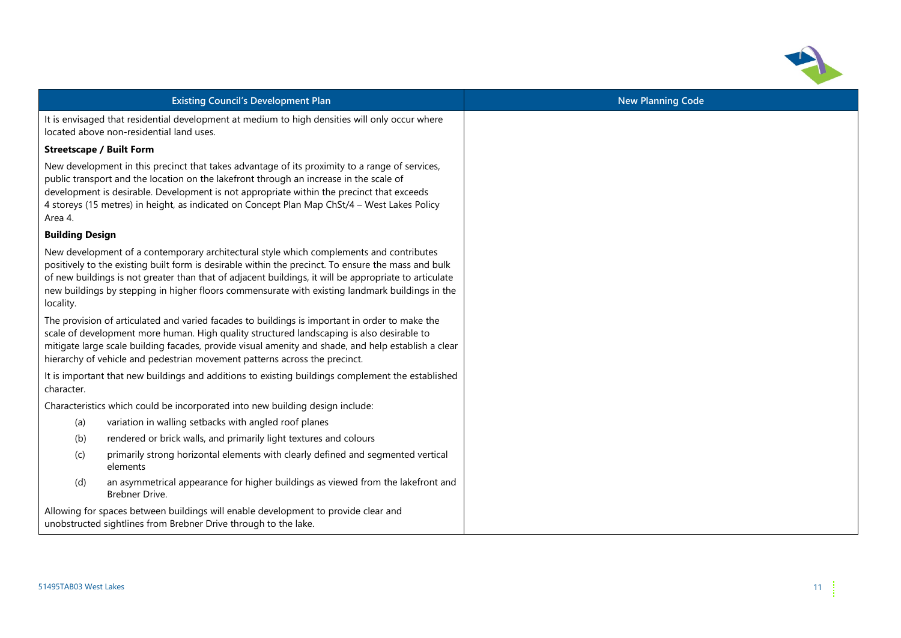

| <b>Existing Council's Development Plan</b>                                                                                                                                                                                                                                                                                                                                                                              | <b>New Planning Code</b> |
|-------------------------------------------------------------------------------------------------------------------------------------------------------------------------------------------------------------------------------------------------------------------------------------------------------------------------------------------------------------------------------------------------------------------------|--------------------------|
| It is envisaged that residential development at medium to high densities will only occur where<br>located above non-residential land uses.                                                                                                                                                                                                                                                                              |                          |
| <b>Streetscape / Built Form</b>                                                                                                                                                                                                                                                                                                                                                                                         |                          |
| New development in this precinct that takes advantage of its proximity to a range of services,<br>public transport and the location on the lakefront through an increase in the scale of<br>development is desirable. Development is not appropriate within the precinct that exceeds<br>4 storeys (15 metres) in height, as indicated on Concept Plan Map ChSt/4 - West Lakes Policy<br>Area 4.                        |                          |
| <b>Building Design</b>                                                                                                                                                                                                                                                                                                                                                                                                  |                          |
| New development of a contemporary architectural style which complements and contributes<br>positively to the existing built form is desirable within the precinct. To ensure the mass and bulk<br>of new buildings is not greater than that of adjacent buildings, it will be appropriate to articulate<br>new buildings by stepping in higher floors commensurate with existing landmark buildings in the<br>locality. |                          |
| The provision of articulated and varied facades to buildings is important in order to make the<br>scale of development more human. High quality structured landscaping is also desirable to<br>mitigate large scale building facades, provide visual amenity and shade, and help establish a clear<br>hierarchy of vehicle and pedestrian movement patterns across the precinct.                                        |                          |
| It is important that new buildings and additions to existing buildings complement the established<br>character.                                                                                                                                                                                                                                                                                                         |                          |
| Characteristics which could be incorporated into new building design include:                                                                                                                                                                                                                                                                                                                                           |                          |
| variation in walling setbacks with angled roof planes<br>(a)                                                                                                                                                                                                                                                                                                                                                            |                          |
| (b)<br>rendered or brick walls, and primarily light textures and colours                                                                                                                                                                                                                                                                                                                                                |                          |
| primarily strong horizontal elements with clearly defined and segmented vertical<br>(c)<br>elements                                                                                                                                                                                                                                                                                                                     |                          |
| an asymmetrical appearance for higher buildings as viewed from the lakefront and<br>(d)<br>Brebner Drive.                                                                                                                                                                                                                                                                                                               |                          |
| Allowing for spaces between buildings will enable development to provide clear and<br>unobstructed sightlines from Brebner Drive through to the lake.                                                                                                                                                                                                                                                                   |                          |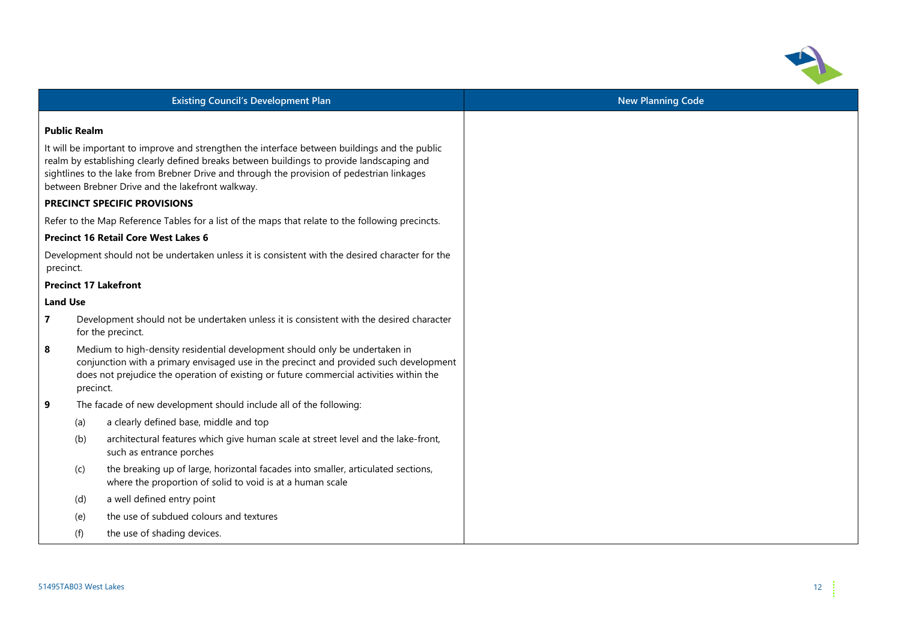

| <b>Existing Council's Development Plan</b>                                                                                                                                                                                                                                         |                     |                                                                                                                                                                                                                                                                                                                                              |
|------------------------------------------------------------------------------------------------------------------------------------------------------------------------------------------------------------------------------------------------------------------------------------|---------------------|----------------------------------------------------------------------------------------------------------------------------------------------------------------------------------------------------------------------------------------------------------------------------------------------------------------------------------------------|
|                                                                                                                                                                                                                                                                                    | <b>Public Realm</b> |                                                                                                                                                                                                                                                                                                                                              |
|                                                                                                                                                                                                                                                                                    |                     | It will be important to improve and strengthen the interface between buildings and the public<br>realm by establishing clearly defined breaks between buildings to provide landscaping and<br>sightlines to the lake from Brebner Drive and through the provision of pedestrian linkages<br>between Brebner Drive and the lakefront walkway. |
|                                                                                                                                                                                                                                                                                    |                     | PRECINCT SPECIFIC PROVISIONS                                                                                                                                                                                                                                                                                                                 |
|                                                                                                                                                                                                                                                                                    |                     | Refer to the Map Reference Tables for a list of the maps that relate to the following precincts.                                                                                                                                                                                                                                             |
|                                                                                                                                                                                                                                                                                    |                     | <b>Precinct 16 Retail Core West Lakes 6</b>                                                                                                                                                                                                                                                                                                  |
| precinct.                                                                                                                                                                                                                                                                          |                     | Development should not be undertaken unless it is consistent with the desired character for the                                                                                                                                                                                                                                              |
|                                                                                                                                                                                                                                                                                    |                     | <b>Precinct 17 Lakefront</b>                                                                                                                                                                                                                                                                                                                 |
| <b>Land Use</b>                                                                                                                                                                                                                                                                    |                     |                                                                                                                                                                                                                                                                                                                                              |
| $\overline{7}$                                                                                                                                                                                                                                                                     |                     | Development should not be undertaken unless it is consistent with the desired character<br>for the precinct.                                                                                                                                                                                                                                 |
| 8<br>Medium to high-density residential development should only be undertaken in<br>conjunction with a primary envisaged use in the precinct and provided such development<br>does not prejudice the operation of existing or future commercial activities within the<br>precinct. |                     |                                                                                                                                                                                                                                                                                                                                              |
| 9                                                                                                                                                                                                                                                                                  |                     | The facade of new development should include all of the following:                                                                                                                                                                                                                                                                           |
|                                                                                                                                                                                                                                                                                    | (a)                 | a clearly defined base, middle and top                                                                                                                                                                                                                                                                                                       |
|                                                                                                                                                                                                                                                                                    | (b)                 | architectural features which give human scale at street level and the lake-front,<br>such as entrance porches                                                                                                                                                                                                                                |
|                                                                                                                                                                                                                                                                                    | (c)                 | the breaking up of large, horizontal facades into smaller, articulated sections,<br>where the proportion of solid to void is at a human scale                                                                                                                                                                                                |
|                                                                                                                                                                                                                                                                                    | (d)                 | a well defined entry point                                                                                                                                                                                                                                                                                                                   |
|                                                                                                                                                                                                                                                                                    | (e)                 | the use of subdued colours and textures                                                                                                                                                                                                                                                                                                      |
|                                                                                                                                                                                                                                                                                    | (f)                 | the use of shading devices.                                                                                                                                                                                                                                                                                                                  |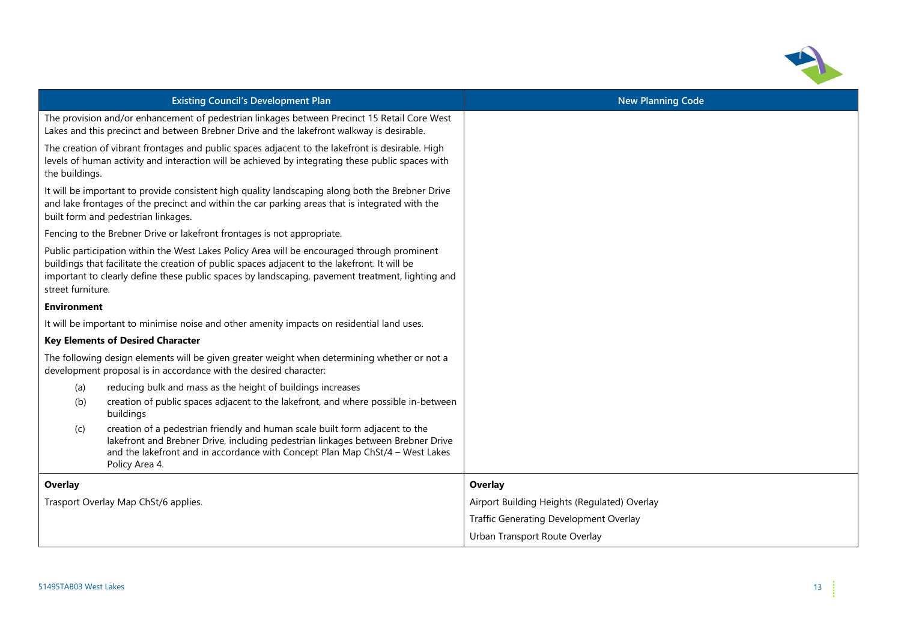

| <b>Existing Council's Development Plan</b>                                                                                                                                                                                                                                                                            | <b>New Planning Code</b>                     |
|-----------------------------------------------------------------------------------------------------------------------------------------------------------------------------------------------------------------------------------------------------------------------------------------------------------------------|----------------------------------------------|
| The provision and/or enhancement of pedestrian linkages between Precinct 15 Retail Core West<br>Lakes and this precinct and between Brebner Drive and the lakefront walkway is desirable.                                                                                                                             |                                              |
| The creation of vibrant frontages and public spaces adjacent to the lakefront is desirable. High<br>levels of human activity and interaction will be achieved by integrating these public spaces with<br>the buildings.                                                                                               |                                              |
| It will be important to provide consistent high quality landscaping along both the Brebner Drive<br>and lake frontages of the precinct and within the car parking areas that is integrated with the<br>built form and pedestrian linkages.                                                                            |                                              |
| Fencing to the Brebner Drive or lakefront frontages is not appropriate.                                                                                                                                                                                                                                               |                                              |
| Public participation within the West Lakes Policy Area will be encouraged through prominent<br>buildings that facilitate the creation of public spaces adjacent to the lakefront. It will be<br>important to clearly define these public spaces by landscaping, pavement treatment, lighting and<br>street furniture. |                                              |
| <b>Environment</b>                                                                                                                                                                                                                                                                                                    |                                              |
| It will be important to minimise noise and other amenity impacts on residential land uses.                                                                                                                                                                                                                            |                                              |
| <b>Key Elements of Desired Character</b>                                                                                                                                                                                                                                                                              |                                              |
| The following design elements will be given greater weight when determining whether or not a<br>development proposal is in accordance with the desired character:                                                                                                                                                     |                                              |
| reducing bulk and mass as the height of buildings increases<br>(a)                                                                                                                                                                                                                                                    |                                              |
| creation of public spaces adjacent to the lakefront, and where possible in-between<br>(b)<br>buildings                                                                                                                                                                                                                |                                              |
| creation of a pedestrian friendly and human scale built form adjacent to the<br>(c)<br>lakefront and Brebner Drive, including pedestrian linkages between Brebner Drive<br>and the lakefront and in accordance with Concept Plan Map ChSt/4 - West Lakes<br>Policy Area 4.                                            |                                              |
| Overlay                                                                                                                                                                                                                                                                                                               | Overlay                                      |
| Trasport Overlay Map ChSt/6 applies.                                                                                                                                                                                                                                                                                  | Airport Building Heights (Regulated) Overlay |
|                                                                                                                                                                                                                                                                                                                       | Traffic Generating Development Overlay       |
|                                                                                                                                                                                                                                                                                                                       | Urban Transport Route Overlay                |